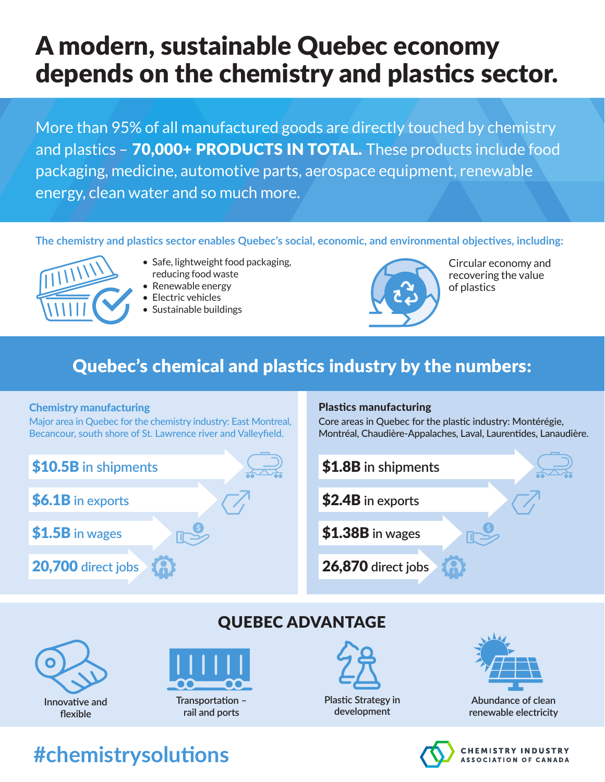# A modern, sustainable Quebec economy depends on the chemistry and plastics sector.

More than 95% of all manufactured goods are directly touched by chemistry and plastics - 70,000+ PRODUCTS IN TOTAL. These products include food packaging, medicine, automotive parts, aerospace equipment, renewable energy, clean water and so much more.

## **The chemistry and plastics sector enables Quebec's social, economic, and environmental objectives, including:**

- 
- Safe, lightweight food packaging, reducing food waste
- Renewable energy
- Electric vehicles
- Sustainable buildings



Circular economy and recovering the value of plastics

## Quebec's chemical and plastics industry by the numbers:

### Chemistry manufacturing

Major area in Quebec for the chemistry industry: East Montreal, Becancour, south shore of St. Lawrence river and Valleyfield.

#### Plastics manufacturing

Core areas in Quebec for the plastic industry: Montérégie, Montréal, Chaudière-Appalaches, Laval, Laurentides, Lanaudière.







**rail and ports**



**Plastic Strategy in development** 



**Abundance of clean renewable electricity** 



#### **HEMISTRY INDUSTRY ASSOCIATION OF CANADA**

## **#chemistrysolutions**